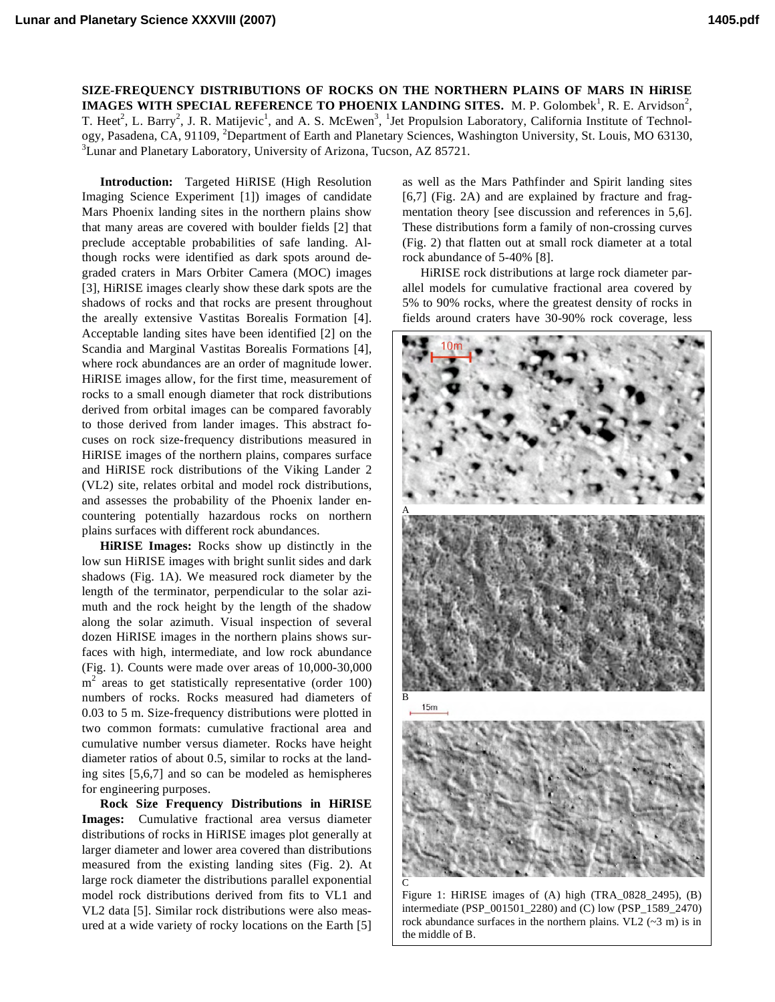**SIZE-FREQUENCY DISTRIBUTIONS OF ROCKS ON THE NORTHERN PLAINS OF MARS IN HiRISE IMAGES WITH SPECIAL REFERENCE TO PHOENIX LANDING SITES.** M. P. Golombek<sup>1</sup>, R. E. Arvidson<sup>2</sup>, T. Heet<sup>2</sup>, L. Barry<sup>2</sup>, J. R. Matijevic<sup>1</sup>, and A. S. McEwen<sup>3</sup>, <sup>1</sup>Jet Propulsion Laboratory, California Institute of Technology, Pasadena, CA, 91109, <sup>2</sup>Department of Earth and Planetary Sciences, Washington University, St. Louis, MO 63130, <sup>3</sup>Lunar and Planetary Laboratory, University of Arizona, Tucson, AZ 85721.

**Introduction:** Targeted HiRISE (High Resolution Imaging Science Experiment [1]) images of candidate Mars Phoenix landing sites in the northern plains show that many areas are covered with boulder fields [2] that preclude acceptable probabilities of safe landing. Although rocks were identified as dark spots around degraded craters in Mars Orbiter Camera (MOC) images [3], HiRISE images clearly show these dark spots are the shadows of rocks and that rocks are present throughout the areally extensive Vastitas Borealis Formation [4]. Acceptable landing sites have been identified [2] on the Scandia and Marginal Vastitas Borealis Formations [4], where rock abundances are an order of magnitude lower. HiRISE images allow, for the first time, measurement of rocks to a small enough diameter that rock distributions derived from orbital images can be compared favorably to those derived from lander images. This abstract focuses on rock size-frequency distributions measured in HiRISE images of the northern plains, compares surface and HiRISE rock distributions of the Viking Lander 2 (VL2) site, relates orbital and model rock distributions, and assesses the probability of the Phoenix lander encountering potentially hazardous rocks on northern plains surfaces with different rock abundances.

**HiRISE Images:** Rocks show up distinctly in the low sun HiRISE images with bright sunlit sides and dark shadows (Fig. 1A). We measured rock diameter by the length of the terminator, perpendicular to the solar azimuth and the rock height by the length of the shadow along the solar azimuth. Visual inspection of several dozen HiRISE images in the northern plains shows surfaces with high, intermediate, and low rock abundance (Fig. 1). Counts were made over areas of 10,000-30,000  $m<sup>2</sup>$  areas to get statistically representative (order 100) numbers of rocks. Rocks measured had diameters of 0.03 to 5 m. Size-frequency distributions were plotted in two common formats: cumulative fractional area and cumulative number versus diameter. Rocks have height diameter ratios of about 0.5, similar to rocks at the landing sites [5,6,7] and so can be modeled as hemispheres for engineering purposes.

**Rock Size Frequency Distributions in HiRISE Images:** Cumulative fractional area versus diameter distributions of rocks in HiRISE images plot generally at larger diameter and lower area covered than distributions measured from the existing landing sites (Fig. 2). At large rock diameter the distributions parallel exponential model rock distributions derived from fits to VL1 and VL2 data [5]. Similar rock distributions were also measured at a wide variety of rocky locations on the Earth [5]

as well as the Mars Pathfinder and Spirit landing sites [6,7] (Fig. 2A) and are explained by fracture and fragmentation theory [see discussion and references in 5,6]. These distributions form a family of non-crossing curves (Fig. 2) that flatten out at small rock diameter at a total rock abundance of 5-40% [8].

HiRISE rock distributions at large rock diameter parallel models for cumulative fractional area covered by 5% to 90% rocks, where the greatest density of rocks in fields around craters have 30-90% rock coverage, less



Figure 1: HiRISE images of (A) high (TRA\_0828\_2495), (B) intermediate (PSP\_001501\_2280) and (C) low (PSP\_1589\_2470) rock abundance surfaces in the northern plains. VL2  $(\sim 3 \text{ m})$  is in the middle of B.